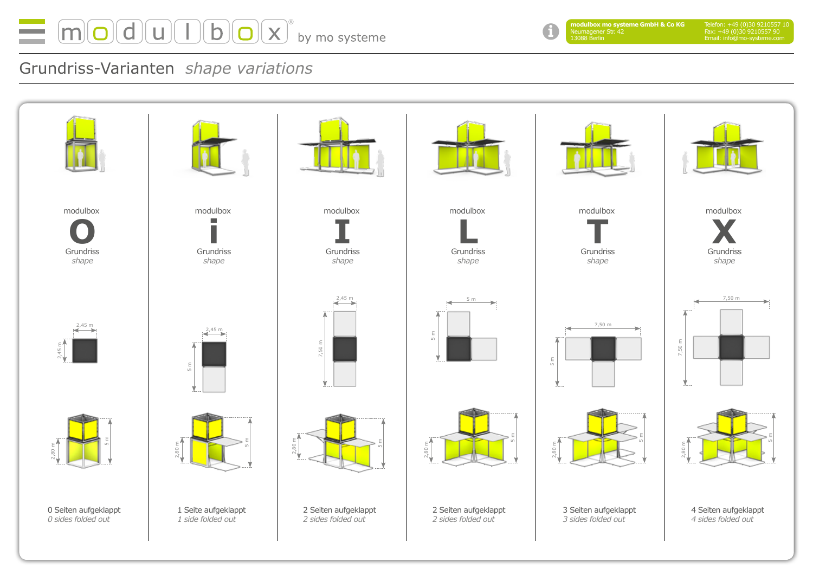

H

**modulbox mo systeme GmbH & Co KG** Neumagener Str. 42 13088 Berlin

## Grundriss-Varianten *shape variations*